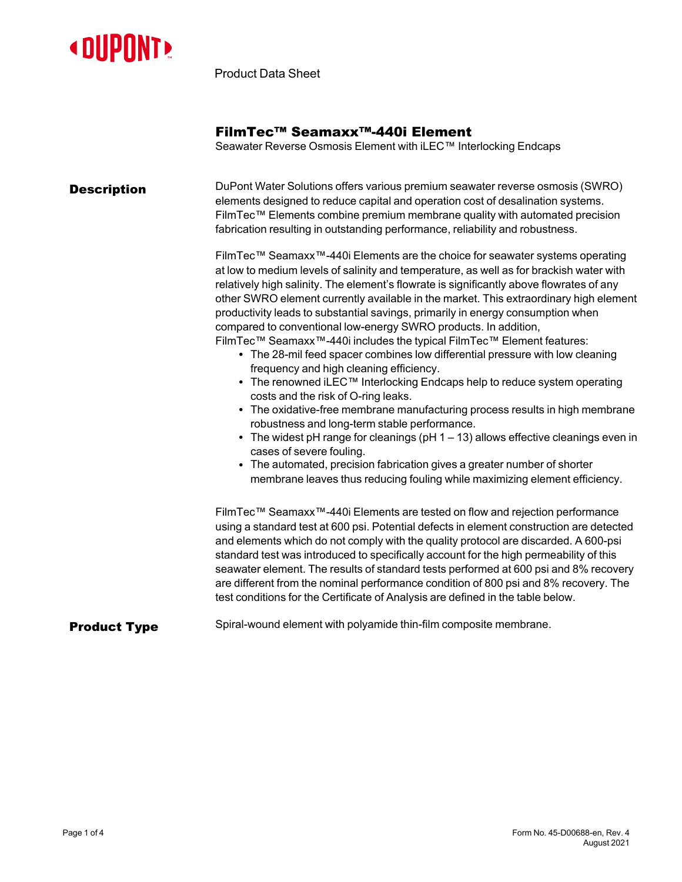

Product Data Sheet

## FilmTec™ Seamaxx™-440i Element

Seawater Reverse Osmosis Element with iLEC™ Interlocking Endcaps

| <b>Description</b>  | DuPont Water Solutions offers various premium seawater reverse osmosis (SWRO)<br>elements designed to reduce capital and operation cost of desalination systems.<br>FilmTec™ Elements combine premium membrane quality with automated precision<br>fabrication resulting in outstanding performance, reliability and robustness.<br>FilmTec™ Seamaxx™-440i Elements are the choice for seawater systems operating<br>at low to medium levels of salinity and temperature, as well as for brackish water with                                                                                                                                                                                                                                                                                                   |  |  |  |  |  |
|---------------------|----------------------------------------------------------------------------------------------------------------------------------------------------------------------------------------------------------------------------------------------------------------------------------------------------------------------------------------------------------------------------------------------------------------------------------------------------------------------------------------------------------------------------------------------------------------------------------------------------------------------------------------------------------------------------------------------------------------------------------------------------------------------------------------------------------------|--|--|--|--|--|
|                     | relatively high salinity. The element's flowrate is significantly above flowrates of any<br>other SWRO element currently available in the market. This extraordinary high element<br>productivity leads to substantial savings, primarily in energy consumption when<br>compared to conventional low-energy SWRO products. In addition,<br>FilmTec™ Seamaxx™-440i includes the typical FilmTec™ Element features:<br>• The 28-mil feed spacer combines low differential pressure with low cleaning<br>frequency and high cleaning efficiency.<br>• The renowned iLEC <sup>TM</sup> Interlocking Endcaps help to reduce system operating<br>costs and the risk of O-ring leaks.<br>• The oxidative-free membrane manufacturing process results in high membrane<br>robustness and long-term stable performance. |  |  |  |  |  |
|                     | • The widest pH range for cleanings (pH $1 - 13$ ) allows effective cleanings even in<br>cases of severe fouling.<br>• The automated, precision fabrication gives a greater number of shorter<br>membrane leaves thus reducing fouling while maximizing element efficiency.                                                                                                                                                                                                                                                                                                                                                                                                                                                                                                                                    |  |  |  |  |  |
|                     | FilmTec™ Seamaxx™-440i Elements are tested on flow and rejection performance<br>using a standard test at 600 psi. Potential defects in element construction are detected<br>and elements which do not comply with the quality protocol are discarded. A 600-psi<br>standard test was introduced to specifically account for the high permeability of this<br>seawater element. The results of standard tests performed at 600 psi and 8% recovery<br>are different from the nominal performance condition of 800 psi and 8% recovery. The<br>test conditions for the Certificate of Analysis are defined in the table below.                                                                                                                                                                                   |  |  |  |  |  |
| <b>Product Type</b> | Spiral-wound element with polyamide thin-film composite membrane.                                                                                                                                                                                                                                                                                                                                                                                                                                                                                                                                                                                                                                                                                                                                              |  |  |  |  |  |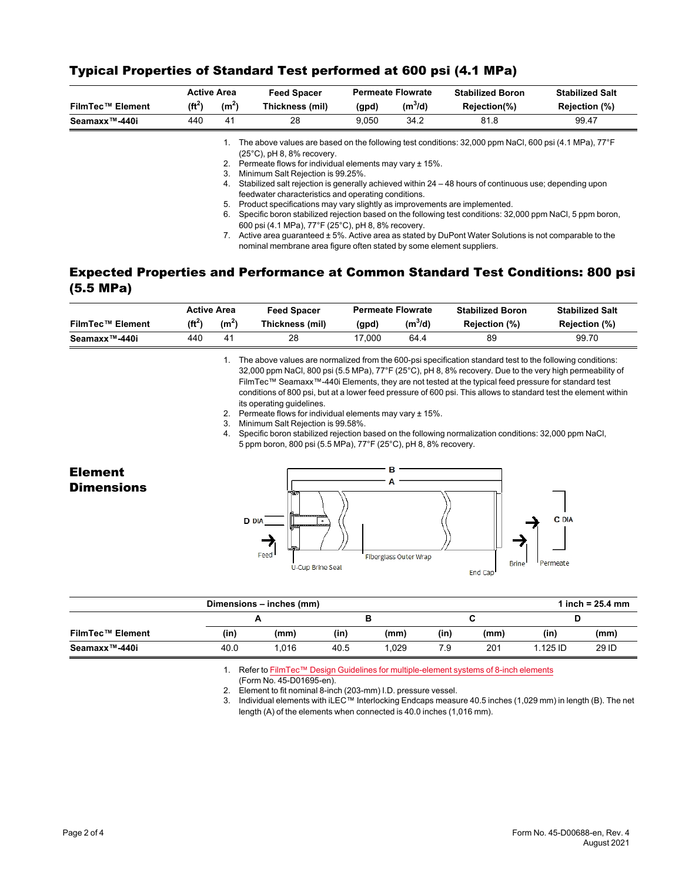|                            |           | <b>Active Area</b> | <b>Feed Spacer</b>                                                                                                                     | <b>Permeate Flowrate</b>                                                                                                                                                                                                                                                                                                                                  |           | <b>Stabilized Boron</b>                                                                                                                                                                                         | <b>Stabilized Salt</b> |  |
|----------------------------|-----------|--------------------|----------------------------------------------------------------------------------------------------------------------------------------|-----------------------------------------------------------------------------------------------------------------------------------------------------------------------------------------------------------------------------------------------------------------------------------------------------------------------------------------------------------|-----------|-----------------------------------------------------------------------------------------------------------------------------------------------------------------------------------------------------------------|------------------------|--|
| <b>FilmTec™ Element</b>    | $(f t^2)$ | (m <sup>2</sup> )  | Thickness (mil)                                                                                                                        | (gpd)                                                                                                                                                                                                                                                                                                                                                     | $(m^3/d)$ | Rejection(%)                                                                                                                                                                                                    | Rejection (%)          |  |
| Seamaxx <sup>™</sup> -440i | 440       | 41                 | 28                                                                                                                                     | 9.050                                                                                                                                                                                                                                                                                                                                                     | 34.2      | 81.8                                                                                                                                                                                                            | 99.47                  |  |
|                            |           | 3.<br>4.           | $(25^{\circ}C)$ , pH 8, 8% recovery.<br>2. Permeate flows for individual elements may vary ± 15%.<br>Minimum Salt Rejection is 99.25%. |                                                                                                                                                                                                                                                                                                                                                           |           | The above values are based on the following test conditions: 32,000 ppm NaCl, 600 psi (4.1 MPa), 77°F<br>Stabilized salt rejection is generally achieved within 24 - 48 hours of continuous use; depending upon |                        |  |
|                            |           | 5.<br>6.           | feedwater characteristics and operating conditions.                                                                                    | Product specifications may vary slightly as improvements are implemented.<br>Specific boron stabilized rejection based on the following test conditions: 32,000 ppm NaCl, 5 ppm boron,<br>600 psi (4.1 MPa), 77°F (25°C), pH 8, 8% recovery.<br>Active area quaranteed $\pm$ 5%. Active area as stated by DuPont Water Solutions is not comparable to the |           |                                                                                                                                                                                                                 |                        |  |

## Typical Properties of Standard Test performed at 600 psi (4.1 MPa)

Expected Properties and Performance at Common Standard Test Conditions: 800 psi (5.5 MPa)

nominal membrane area figure often stated by some element suppliers.

|                         | <b>Active Area</b> |                | <b>Feed Spacer</b> | <b>Permeate Flowrate</b> |           | <b>Stabilized Boron</b> | <b>Stabilized Salt</b> |  |
|-------------------------|--------------------|----------------|--------------------|--------------------------|-----------|-------------------------|------------------------|--|
| <b>FilmTec™ Element</b> | $(ft^2)$           | $(m^2)$        | Thickness (mil)    | (gpd)                    | $(m^3/d)$ | Rejection (%)           | Rejection (%)          |  |
| Seamaxx™-440i           | 440                | 4 <sup>1</sup> | 28                 | 17.000                   | 64.4      | 89                      | 99.70                  |  |

1. The above values are normalized from the 600-psi specification standard test to the following conditions: 32,000 ppm NaCl, 800 psi (5.5 MPa), 77°F (25°C), pH 8, 8% recovery. Due to the very high permeability of FilmTec™ Seamaxx™-440i Elements, they are not tested at the typical feed pressure for standard test conditions of 800 psi, but at a lower feed pressure of 600 psi. This allows to standard test the element within its operating guidelines.

- 2. Permeate flows for individual elements may vary ± 15%.
- 3. Minimum Salt Rejection is 99.58%.
- 4. Specific boron stabilized rejection based on the following normalization conditions: 32,000 ppm NaCl, 5 ppm boron, 800 psi (5.5 MPa), 77°F (25°C), pH 8, 8% recovery.



|                         |      | Dimensions – inches (mm) |      |      |     |      |          | 1 inch = $25.4 \, \text{mm}$ |
|-------------------------|------|--------------------------|------|------|-----|------|----------|------------------------------|
|                         |      |                          |      |      |     |      |          |                              |
| <b>FilmTec™ Element</b> | (in) | (mm)                     | (in) | (mm) | (in | (mm) | (in)     | (mm)                         |
| Seamaxx™-440i           | 40.0 | .016                     | 40.5 | .029 | 7.9 | 201  | l.125 ID | 29 ID                        |

1. Refer to FilmTec™ Design Guidelines for [multiple-element](https://www.dupont.com/content/dam/dupont/amer/us/en/water-solutions/public/documents/en/RO-NF-FilmTec-Membrane-Sys-Design-Guidelines-8inch-Manual-Exc-45-D01695-en.pdf) systems of 8-inch elements

(Form No. 45-D01695-en).

2. Element to fit nominal 8-inch (203-mm) I.D. pressure vessel.

3. Individual elements with iLEC™ Interlocking Endcaps measure 40.5 inches (1,029 mm) in length (B). The net length (A) of the elements when connected is 40.0 inches (1,016 mm).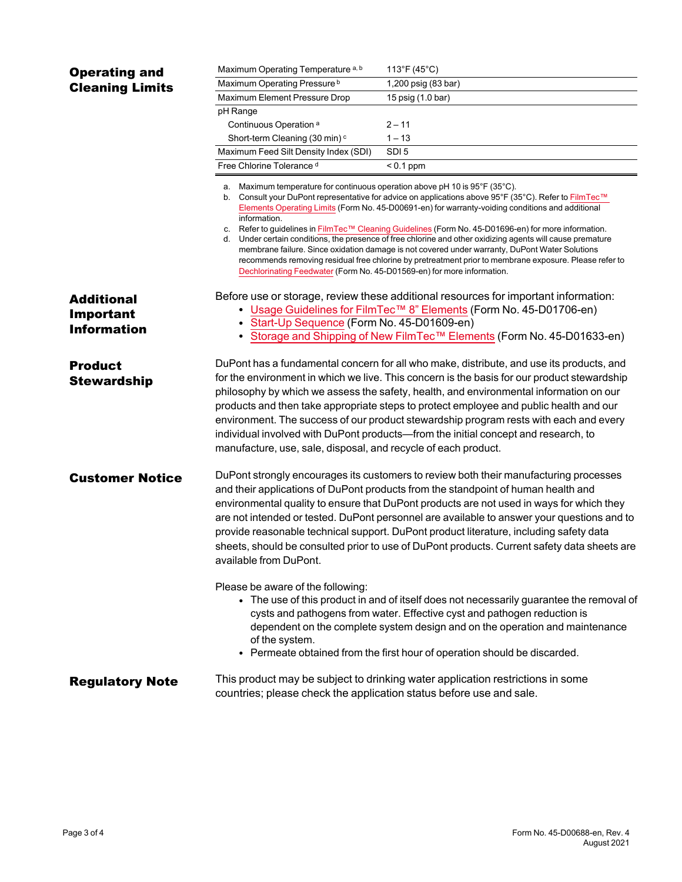| <b>Operating and</b>                                        | Maximum Operating Temperature <sup>a, b</sup>                                                                                                                                                                                                                                                                                                                                                                                                                                                                                                                                                                                                                                                                                                    | 113°F (45°C)        |  |  |  |  |  |
|-------------------------------------------------------------|--------------------------------------------------------------------------------------------------------------------------------------------------------------------------------------------------------------------------------------------------------------------------------------------------------------------------------------------------------------------------------------------------------------------------------------------------------------------------------------------------------------------------------------------------------------------------------------------------------------------------------------------------------------------------------------------------------------------------------------------------|---------------------|--|--|--|--|--|
| <b>Cleaning Limits</b>                                      | Maximum Operating Pressure <sup>b</sup>                                                                                                                                                                                                                                                                                                                                                                                                                                                                                                                                                                                                                                                                                                          | 1,200 psig (83 bar) |  |  |  |  |  |
|                                                             | Maximum Element Pressure Drop                                                                                                                                                                                                                                                                                                                                                                                                                                                                                                                                                                                                                                                                                                                    | 15 psig (1.0 bar)   |  |  |  |  |  |
|                                                             | pH Range                                                                                                                                                                                                                                                                                                                                                                                                                                                                                                                                                                                                                                                                                                                                         |                     |  |  |  |  |  |
|                                                             | Continuous Operation <sup>a</sup>                                                                                                                                                                                                                                                                                                                                                                                                                                                                                                                                                                                                                                                                                                                | $2 - 11$            |  |  |  |  |  |
|                                                             | Short-term Cleaning (30 min) <sup>c</sup>                                                                                                                                                                                                                                                                                                                                                                                                                                                                                                                                                                                                                                                                                                        | $1 - 13$            |  |  |  |  |  |
|                                                             | Maximum Feed Silt Density Index (SDI)                                                                                                                                                                                                                                                                                                                                                                                                                                                                                                                                                                                                                                                                                                            | SDI <sub>5</sub>    |  |  |  |  |  |
|                                                             | Free Chlorine Tolerance d                                                                                                                                                                                                                                                                                                                                                                                                                                                                                                                                                                                                                                                                                                                        | $< 0.1$ ppm         |  |  |  |  |  |
|                                                             | Maximum temperature for continuous operation above pH 10 is 95°F (35°C).<br>a.<br>Consult your DuPont representative for advice on applications above 95°F (35°C). Refer to FilmTec™<br>b.<br>Elements Operating Limits (Form No. 45-D00691-en) for warranty-voiding conditions and additional<br>information.<br>c. Refer to guidelines in FilmTec™ Cleaning Guidelines (Form No. 45-D01696-en) for more information.<br>d. Under certain conditions, the presence of free chlorine and other oxidizing agents will cause premature<br>membrane failure. Since oxidation damage is not covered under warranty, DuPont Water Solutions<br>recommends removing residual free chlorine by pretreatment prior to membrane exposure. Please refer to |                     |  |  |  |  |  |
| <b>Additional</b><br><b>Important</b><br><b>Information</b> | Dechlorinating Feedwater (Form No. 45-D01569-en) for more information.<br>Before use or storage, review these additional resources for important information:<br>• Usage Guidelines for FilmTec <sup>TM</sup> 8" Elements (Form No. 45-D01706-en)<br>• Start-Up Sequence (Form No. 45-D01609-en)                                                                                                                                                                                                                                                                                                                                                                                                                                                 |                     |  |  |  |  |  |
|                                                             | • Storage and Shipping of New FilmTec™ Elements (Form No. 45-D01633-en)                                                                                                                                                                                                                                                                                                                                                                                                                                                                                                                                                                                                                                                                          |                     |  |  |  |  |  |
| <b>Product</b><br><b>Stewardship</b>                        | DuPont has a fundamental concern for all who make, distribute, and use its products, and<br>for the environment in which we live. This concern is the basis for our product stewardship<br>philosophy by which we assess the safety, health, and environmental information on our<br>products and then take appropriate steps to protect employee and public health and our<br>environment. The success of our product stewardship program rests with each and every<br>individual involved with DuPont products—from the initial concept and research, to<br>manufacture, use, sale, disposal, and recycle of each product.                                                                                                                     |                     |  |  |  |  |  |
| <b>Customer Notice</b>                                      | DuPont strongly encourages its customers to review both their manufacturing processes<br>and their applications of DuPont products from the standpoint of human health and<br>environmental quality to ensure that DuPont products are not used in ways for which they<br>are not intended or tested. DuPont personnel are available to answer your questions and to<br>provide reasonable technical support. DuPont product literature, including safety data<br>sheets, should be consulted prior to use of DuPont products. Current safety data sheets are<br>available from DuPont.                                                                                                                                                          |                     |  |  |  |  |  |
|                                                             | Please be aware of the following:<br>• The use of this product in and of itself does not necessarily guarantee the removal of<br>cysts and pathogens from water. Effective cyst and pathogen reduction is<br>dependent on the complete system design and on the operation and maintenance<br>of the system.<br>• Permeate obtained from the first hour of operation should be discarded.                                                                                                                                                                                                                                                                                                                                                         |                     |  |  |  |  |  |
| <b>Regulatory Note</b>                                      | This product may be subject to drinking water application restrictions in some<br>countries; please check the application status before use and sale.                                                                                                                                                                                                                                                                                                                                                                                                                                                                                                                                                                                            |                     |  |  |  |  |  |